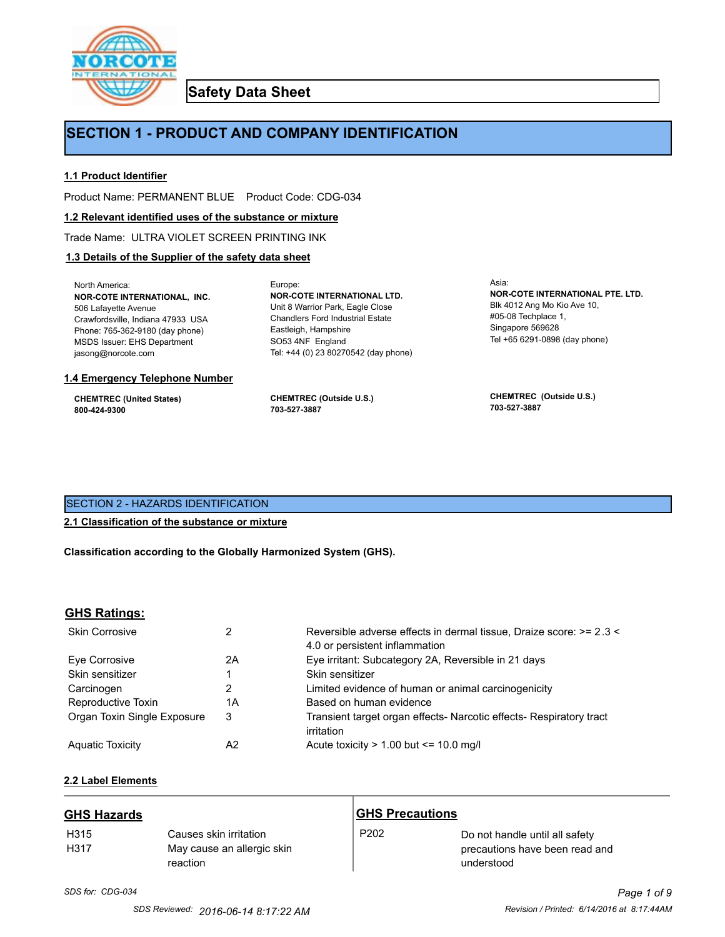

**Safety Data Sheet**

# **SECTION 1 - PRODUCT AND COMPANY IDENTIFICATION**

Europe:

## **1.1 Product Identifier**

Product Name: PERMANENT BLUE Product Code: CDG-034

#### **1.2 Relevant identified uses of the substance or mixture**

Trade Name: ULTRA VIOLET SCREEN PRINTING INK

## **1.3 Details of the Supplier of the safety data sheet**

North America: **NOR-COTE INTERNATIONAL, INC.** 506 Lafayette Avenue Crawfordsville, Indiana 47933 USA Phone: 765-362-9180 (day phone) MSDS Issuer: EHS Department jasong@norcote.com

#### **1.4 Emergency Telephone Number**

**CHEMTREC (United States) 800-424-9300**

**CHEMTREC (Outside U.S.) 703-527-3887**

Eastleigh, Hampshire SO53 4NF England

**NOR-COTE INTERNATIONAL LTD.** Unit 8 Warrior Park, Eagle Close Chandlers Ford Industrial Estate

Tel: +44 (0) 23 80270542 (day phone)

Asia: **NOR-COTE INTERNATIONAL PTE. LTD.** Blk 4012 Ang Mo Kio Ave 10, #05-08 Techplace 1, Singapore 569628 Tel +65 6291-0898 (day phone)

**CHEMTREC (Outside U.S.) 703-527-3887**

## SECTION 2 - HAZARDS IDENTIFICATION

### **2.1 Classification of the substance or mixture**

**Classification according to the Globally Harmonized System (GHS).**

#### **GHS Ratings:**

| <b>Skin Corrosive</b>       | 2  | Reversible adverse effects in dermal tissue, Draize score: >= 2.3 <<br>4.0 or persistent inflammation |
|-----------------------------|----|-------------------------------------------------------------------------------------------------------|
| Eve Corrosive               | 2A | Eye irritant: Subcategory 2A, Reversible in 21 days                                                   |
| Skin sensitizer             |    | Skin sensitizer                                                                                       |
| Carcinogen                  |    | Limited evidence of human or animal carcinogenicity                                                   |
| Reproductive Toxin          | 1A | Based on human evidence                                                                               |
| Organ Toxin Single Exposure | 3  | Transient target organ effects- Narcotic effects- Respiratory tract<br>irritation                     |
| <b>Aguatic Toxicity</b>     | A2 | Acute toxicity $> 1.00$ but $\leq 10.0$ mg/l                                                          |

## **2.2 Label Elements**

| <b>GHS Hazards</b>       |                                                                  | <b>GHS Precautions</b> |                                                                                |
|--------------------------|------------------------------------------------------------------|------------------------|--------------------------------------------------------------------------------|
| H <sub>315</sub><br>H317 | Causes skin irritation<br>May cause an allergic skin<br>reaction | P <sub>202</sub>       | Do not handle until all safety<br>precautions have been read and<br>understood |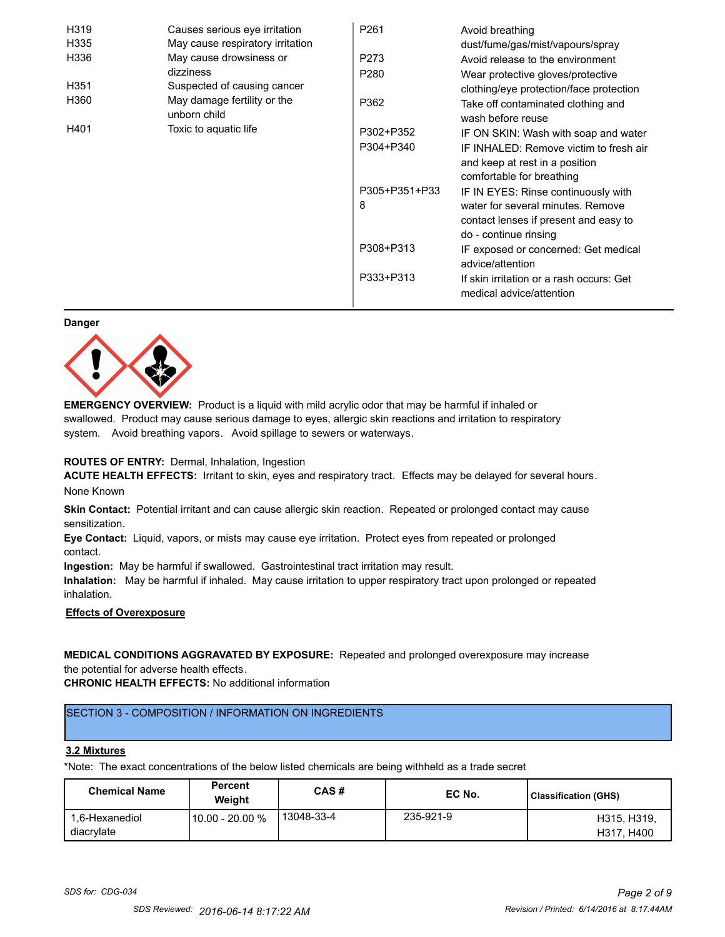| H319 | Causes serious eye irritation               | P <sub>261</sub> | Avoid breathing                                                      |
|------|---------------------------------------------|------------------|----------------------------------------------------------------------|
| H335 | May cause respiratory irritation            |                  | dust/fume/gas/mist/vapours/spray                                     |
| H336 | May cause drowsiness or                     | P273             | Avoid release to the environment                                     |
|      | dizziness                                   | P <sub>280</sub> | Wear protective gloves/protective                                    |
| H351 | Suspected of causing cancer                 |                  | clothing/eye protection/face protection                              |
| H360 | May damage fertility or the<br>unborn child | P362             | Take off contaminated clothing and<br>wash before reuse              |
| H401 | Toxic to aquatic life                       | P302+P352        | IF ON SKIN: Wash with soap and water                                 |
|      |                                             | P304+P340        | IF INHALED: Remove victim to fresh air                               |
|      |                                             |                  | and keep at rest in a position                                       |
|      |                                             |                  | comfortable for breathing                                            |
|      |                                             | P305+P351+P33    | IF IN EYES: Rinse continuously with                                  |
|      |                                             | 8                | water for several minutes. Remove                                    |
|      |                                             |                  | contact lenses if present and easy to                                |
|      |                                             |                  | do - continue rinsing                                                |
|      |                                             | P308+P313        | IF exposed or concerned: Get medical                                 |
|      |                                             |                  | advice/attention                                                     |
|      |                                             | P333+P313        | If skin irritation or a rash occurs: Get<br>medical advice/attention |

#### **Danger**



**EMERGENCY OVERVIEW:** Product is a liquid with mild acrylic odor that may be harmful if inhaled or swallowed. Product may cause serious damage to eyes, allergic skin reactions and irritation to respiratory system. Avoid breathing vapors. Avoid spillage to sewers or waterways.

#### **ROUTES OF ENTRY:** Dermal, Inhalation, Ingestion

**ACUTE HEALTH EFFECTS:** Irritant to skin, eyes and respiratory tract. Effects may be delayed for several hours. None Known

**Skin Contact:** Potential irritant and can cause allergic skin reaction. Repeated or prolonged contact may cause sensitization.

**Eye Contact:** Liquid, vapors, or mists may cause eye irritation. Protect eyes from repeated or prolonged contact.

**Ingestion:** May be harmful if swallowed. Gastrointestinal tract irritation may result.

**Inhalation:** May be harmful if inhaled. May cause irritation to upper respiratory tract upon prolonged or repeated inhalation.

## **Effects of Overexposure**

## **MEDICAL CONDITIONS AGGRAVATED BY EXPOSURE:** Repeated and prolonged overexposure may increase the potential for adverse health effects.

**CHRONIC HEALTH EFFECTS:** No additional information

## SECTION 3 - COMPOSITION / INFORMATION ON INGREDIENTS

#### **3.2 Mixtures**

\*Note: The exact concentrations of the below listed chemicals are being withheld as a trade secret

| <b>Chemical Name</b>         | <b>Percent</b><br>Weiaht | CAS#       | EC No.    | <b>Classification (GHS)</b> |
|------------------------------|--------------------------|------------|-----------|-----------------------------|
| 1.6-Hexanediol<br>diacrylate | 10.00 - 20.00 %          | 13048-33-4 | 235-921-9 | H315, H319,<br>H317, H400   |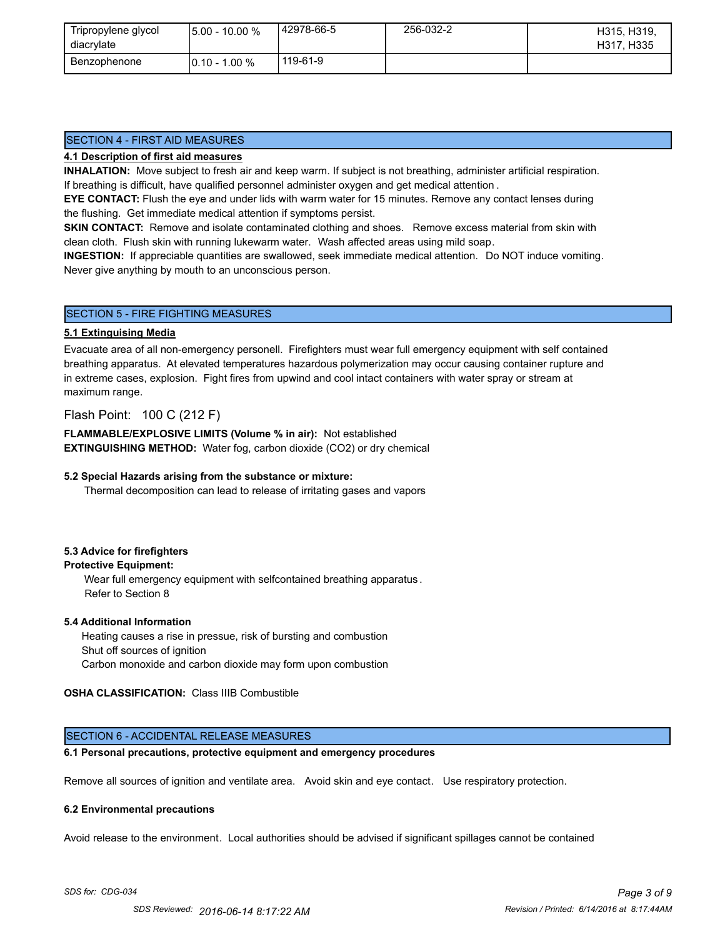| Tripropylene glycol<br>diacrylate | $15.00 - 10.00 %$ | 42978-66-5 | 256-032-2 | H315, H319,<br>H317, H335 |
|-----------------------------------|-------------------|------------|-----------|---------------------------|
| Benzophenone                      | $10.10 - 1.00 \%$ | 119-61-9   |           |                           |

## SECTION 4 - FIRST AID MEASURES

### **4.1 Description of first aid measures**

**INHALATION:** Move subject to fresh air and keep warm. If subject is not breathing, administer artificial respiration. If breathing is difficult, have qualified personnel administer oxygen and get medical attention .

**EYE CONTACT:** Flush the eye and under lids with warm water for 15 minutes. Remove any contact lenses during the flushing. Get immediate medical attention if symptoms persist.

**SKIN CONTACT:** Remove and isolate contaminated clothing and shoes. Remove excess material from skin with clean cloth. Flush skin with running lukewarm water. Wash affected areas using mild soap.

**INGESTION:** If appreciable quantities are swallowed, seek immediate medical attention. Do NOT induce vomiting. Never give anything by mouth to an unconscious person.

### SECTION 5 - FIRE FIGHTING MEASURES

#### **5.1 Extinguising Media**

Evacuate area of all non-emergency personell. Firefighters must wear full emergency equipment with self contained breathing apparatus. At elevated temperatures hazardous polymerization may occur causing container rupture and in extreme cases, explosion. Fight fires from upwind and cool intact containers with water spray or stream at maximum range.

## Flash Point: 100 C (212 F)

**FLAMMABLE/EXPLOSIVE LIMITS (Volume % in air):** Not established **EXTINGUISHING METHOD:** Water fog, carbon dioxide (CO2) or dry chemical

#### **5.2 Special Hazards arising from the substance or mixture:**

Thermal decomposition can lead to release of irritating gases and vapors

### **5.3 Advice for firefighters**

## **Protective Equipment:**

Wear full emergency equipment with selfcontained breathing apparatus . Refer to Section 8

#### **5.4 Additional Information**

 Heating causes a rise in pressue, risk of bursting and combustion Shut off sources of ignition Carbon monoxide and carbon dioxide may form upon combustion

#### **OSHA CLASSIFICATION:** Class IIIB Combustible

## SECTION 6 - ACCIDENTAL RELEASE MEASURES

## **6.1 Personal precautions, protective equipment and emergency procedures**

Remove all sources of ignition and ventilate area. Avoid skin and eye contact. Use respiratory protection.

#### **6.2 Environmental precautions**

Avoid release to the environment. Local authorities should be advised if significant spillages cannot be contained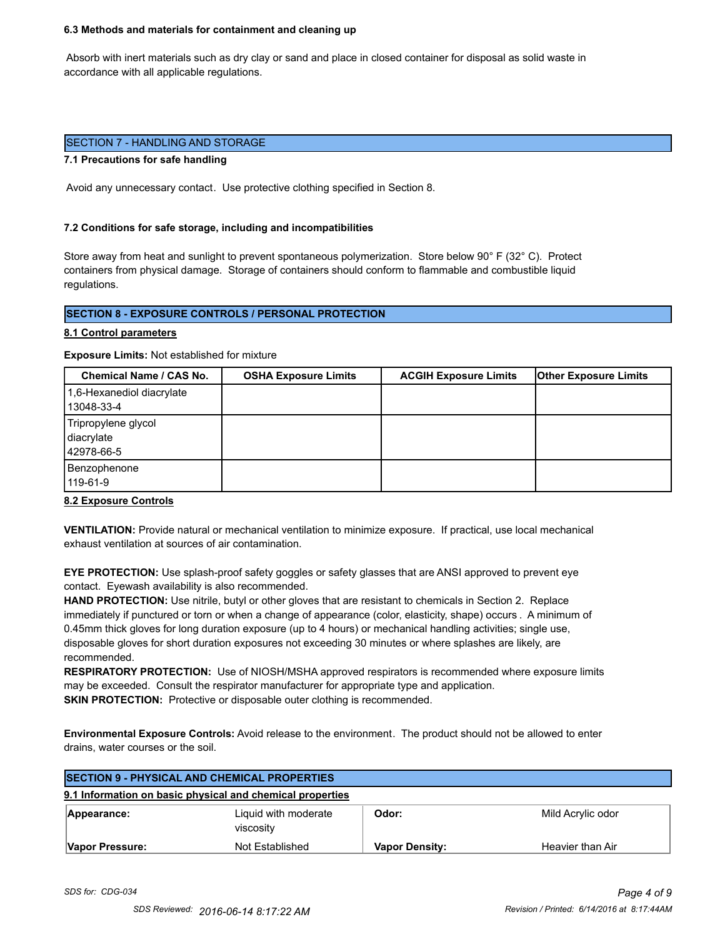#### **6.3 Methods and materials for containment and cleaning up**

 Absorb with inert materials such as dry clay or sand and place in closed container for disposal as solid waste in accordance with all applicable regulations.

#### SECTION 7 - HANDLING AND STORAGE

#### **7.1 Precautions for safe handling**

Avoid any unnecessary contact. Use protective clothing specified in Section 8.

#### **7.2 Conditions for safe storage, including and incompatibilities**

Store away from heat and sunlight to prevent spontaneous polymerization. Store below 90° F (32° C). Protect containers from physical damage. Storage of containers should conform to flammable and combustible liquid regulations.

## **SECTION 8 - EXPOSURE CONTROLS / PERSONAL PROTECTION**

#### **8.1 Control parameters**

**Exposure Limits:** Not established for mixture

| Chemical Name / CAS No.                         | <b>OSHA Exposure Limits</b> | <b>ACGIH Exposure Limits</b> | <b>Other Exposure Limits</b> |
|-------------------------------------------------|-----------------------------|------------------------------|------------------------------|
| 1,6-Hexanediol diacrylate<br>13048-33-4         |                             |                              |                              |
| Tripropylene glycol<br>diacrylate<br>42978-66-5 |                             |                              |                              |
| Benzophenone<br>119-61-9                        |                             |                              |                              |

#### **8.2 Exposure Controls**

**VENTILATION:** Provide natural or mechanical ventilation to minimize exposure. If practical, use local mechanical exhaust ventilation at sources of air contamination.

**EYE PROTECTION:** Use splash-proof safety goggles or safety glasses that are ANSI approved to prevent eye contact. Eyewash availability is also recommended.

**HAND PROTECTION:** Use nitrile, butyl or other gloves that are resistant to chemicals in Section 2. Replace immediately if punctured or torn or when a change of appearance (color, elasticity, shape) occurs . A minimum of 0.45mm thick gloves for long duration exposure (up to 4 hours) or mechanical handling activities; single use, disposable gloves for short duration exposures not exceeding 30 minutes or where splashes are likely, are recommended.

**RESPIRATORY PROTECTION:** Use of NIOSH/MSHA approved respirators is recommended where exposure limits may be exceeded. Consult the respirator manufacturer for appropriate type and application. **SKIN PROTECTION:** Protective or disposable outer clothing is recommended.

**Environmental Exposure Controls:** Avoid release to the environment. The product should not be allowed to enter drains, water courses or the soil.

| <b>SECTION 9 - PHYSICAL AND CHEMICAL PROPERTIES</b> |                                                           |                       |                   |
|-----------------------------------------------------|-----------------------------------------------------------|-----------------------|-------------------|
|                                                     | 9.1 Information on basic physical and chemical properties |                       |                   |
| Appearance:                                         | Liquid with moderate<br>viscosity                         | Odor:                 | Mild Acrylic odor |
| Vapor Pressure:                                     | Not Established                                           | <b>Vapor Density:</b> | Heavier than Air  |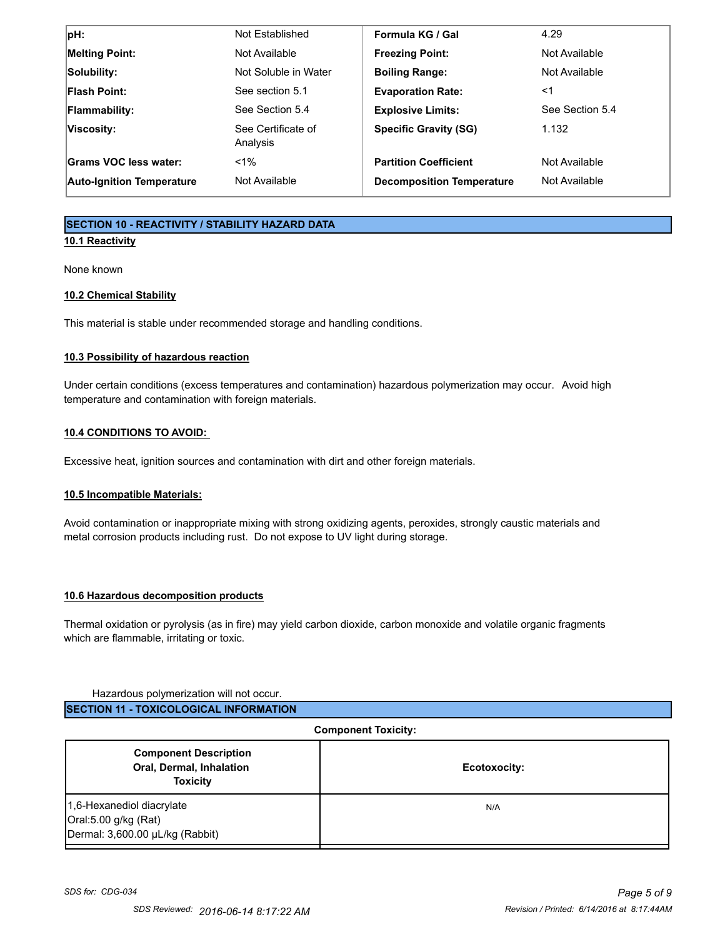| $ pH$ :                          | Not Established                | Formula KG / Gal                 | 4.29            |
|----------------------------------|--------------------------------|----------------------------------|-----------------|
| <b>Melting Point:</b>            | Not Available                  | <b>Freezing Point:</b>           | Not Available   |
| Solubility:                      | Not Soluble in Water           | <b>Boiling Range:</b>            | Not Available   |
| <b>Flash Point:</b>              | See section 5.1                | <b>Evaporation Rate:</b>         | ≺1              |
| <b>Flammability:</b>             | See Section 5.4                | <b>Explosive Limits:</b>         | See Section 5.4 |
| Viscosity:                       | See Certificate of<br>Analysis | <b>Specific Gravity (SG)</b>     | 1.132           |
| Grams VOC less water:            | $< 1\%$                        | <b>Partition Coefficient</b>     | Not Available   |
| <b>Auto-Ignition Temperature</b> | Not Available                  | <b>Decomposition Temperature</b> | Not Available   |

## **SECTION 10 - REACTIVITY / STABILITY HAZARD DATA**

## **10.1 Reactivity**

None known

## **10.2 Chemical Stability**

This material is stable under recommended storage and handling conditions.

## **10.3 Possibility of hazardous reaction**

Under certain conditions (excess temperatures and contamination) hazardous polymerization may occur. Avoid high temperature and contamination with foreign materials.

## **10.4 CONDITIONS TO AVOID:**

Excessive heat, ignition sources and contamination with dirt and other foreign materials.

## **10.5 Incompatible Materials:**

Avoid contamination or inappropriate mixing with strong oxidizing agents, peroxides, strongly caustic materials and metal corrosion products including rust. Do not expose to UV light during storage.

#### **10.6 Hazardous decomposition products**

Thermal oxidation or pyrolysis (as in fire) may yield carbon dioxide, carbon monoxide and volatile organic fragments which are flammable, irritating or toxic.

#### Hazardous polymerization will not occur.

| <b>ISECTION 11 - TOXICOLOGICAL INFORMATION</b> |
|------------------------------------------------|
|------------------------------------------------|

| <b>Component Toxicity:</b>                                                           |              |
|--------------------------------------------------------------------------------------|--------------|
| <b>Component Description</b><br>Oral, Dermal, Inhalation<br><b>Toxicity</b>          | Ecotoxocity: |
| 1,6-Hexanediol diacrylate<br>Oral:5.00 g/kg (Rat)<br>Dermal: 3,600.00 µL/kg (Rabbit) | N/A          |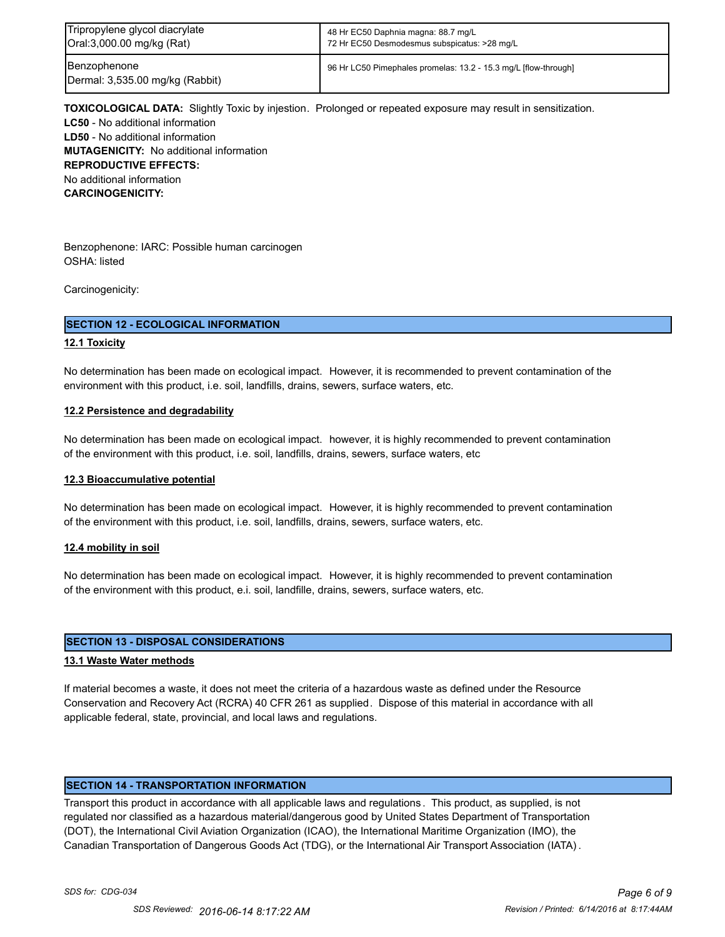| Tripropylene glycol diacrylate                  | 48 Hr EC50 Daphnia magna: 88.7 mg/L                             |
|-------------------------------------------------|-----------------------------------------------------------------|
| Oral:3,000.00 mg/kg (Rat)                       | 72 Hr EC50 Desmodesmus subspicatus: >28 mg/L                    |
| Benzophenone<br>Dermal: 3,535.00 mg/kg (Rabbit) | 96 Hr LC50 Pimephales promelas: 13.2 - 15.3 mg/L [flow-through] |

**TOXICOLOGICAL DATA:** Slightly Toxic by injestion. Prolonged or repeated exposure may result in sensitization. **LC50** - No additional information **LD50** - No additional information **MUTAGENICITY:** No additional information **REPRODUCTIVE EFFECTS:** No additional information **CARCINOGENICITY:**

Benzophenone: IARC: Possible human carcinogen OSHA: listed

Carcinogenicity:

#### **SECTION 12 - ECOLOGICAL INFORMATION**

#### **12.1 Toxicity**

No determination has been made on ecological impact. However, it is recommended to prevent contamination of the environment with this product, i.e. soil, landfills, drains, sewers, surface waters, etc.

#### **12.2 Persistence and degradability**

No determination has been made on ecological impact. however, it is highly recommended to prevent contamination of the environment with this product, i.e. soil, landfills, drains, sewers, surface waters, etc

#### **12.3 Bioaccumulative potential**

No determination has been made on ecological impact. However, it is highly recommended to prevent contamination of the environment with this product, i.e. soil, landfills, drains, sewers, surface waters, etc.

#### **12.4 mobility in soil**

No determination has been made on ecological impact. However, it is highly recommended to prevent contamination of the environment with this product, e.i. soil, landfille, drains, sewers, surface waters, etc.

#### **SECTION 13 - DISPOSAL CONSIDERATIONS**

#### **13.1 Waste Water methods**

If material becomes a waste, it does not meet the criteria of a hazardous waste as defined under the Resource Conservation and Recovery Act (RCRA) 40 CFR 261 as supplied. Dispose of this material in accordance with all applicable federal, state, provincial, and local laws and regulations.

### **SECTION 14 - TRANSPORTATION INFORMATION**

Transport this product in accordance with all applicable laws and regulations . This product, as supplied, is not regulated nor classified as a hazardous material/dangerous good by United States Department of Transportation (DOT), the International Civil Aviation Organization (ICAO), the International Maritime Organization (IMO), the Canadian Transportation of Dangerous Goods Act (TDG), or the International Air Transport Association (IATA) .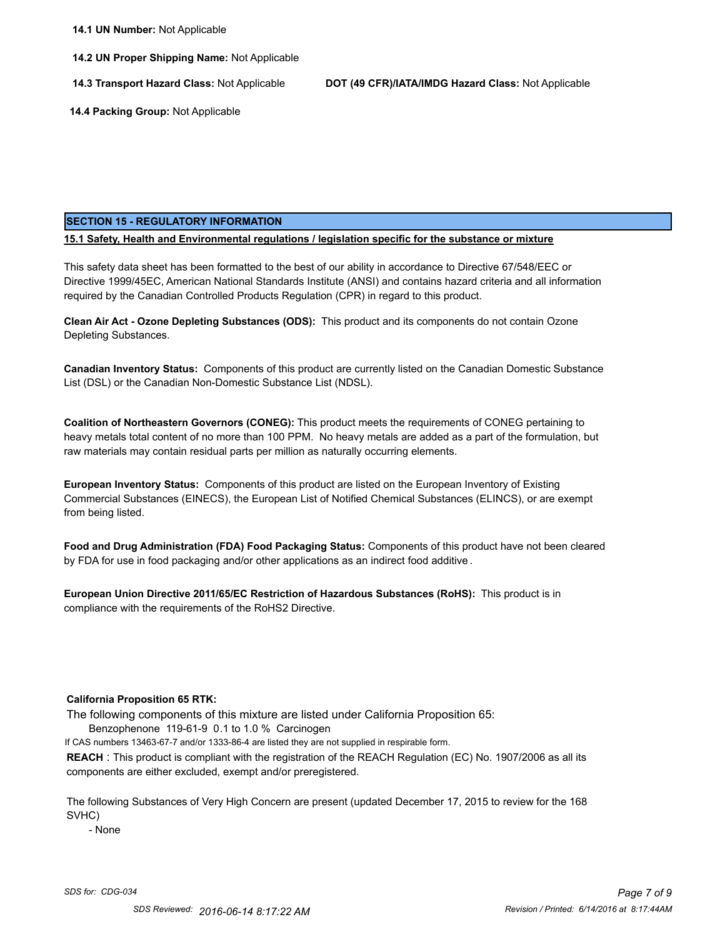**14.2 UN Proper Shipping Name:** Not Applicable

**14.3 Transport Hazard Class:** Not Applicable **DOT (49 CFR)/IATA/IMDG Hazard Class:** Not Applicable

 **14.4 Packing Group:** Not Applicable

#### **SECTION 15 - REGULATORY INFORMATION**

**15.1 Safety, Health and Environmental regulations / legislation specific for the substance or mixture**

This safety data sheet has been formatted to the best of our ability in accordance to Directive 67/548/EEC or Directive 1999/45EC, American National Standards Institute (ANSI) and contains hazard criteria and all information required by the Canadian Controlled Products Regulation (CPR) in regard to this product.

**Clean Air Act - Ozone Depleting Substances (ODS):** This product and its components do not contain Ozone Depleting Substances.

**Canadian Inventory Status:** Components of this product are currently listed on the Canadian Domestic Substance List (DSL) or the Canadian Non-Domestic Substance List (NDSL).

**Coalition of Northeastern Governors (CONEG):** This product meets the requirements of CONEG pertaining to heavy metals total content of no more than 100 PPM. No heavy metals are added as a part of the formulation, but raw materials may contain residual parts per million as naturally occurring elements.

**European Inventory Status:** Components of this product are listed on the European Inventory of Existing Commercial Substances (EINECS), the European List of Notified Chemical Substances (ELINCS), or are exempt from being listed.

**Food and Drug Administration (FDA) Food Packaging Status:** Components of this product have not been cleared by FDA for use in food packaging and/or other applications as an indirect food additive .

**European Union Directive 2011/65/EC Restriction of Hazardous Substances (RoHS):** This product is in compliance with the requirements of the RoHS2 Directive.

#### **California Proposition 65 RTK:**

The following components of this mixture are listed under California Proposition 65:

Benzophenone 119-61-9 0.1 to 1.0 % Carcinogen

If CAS numbers 13463-67-7 and/or 1333-86-4 are listed they are not supplied in respirable form.

**REACH** : This product is compliant with the registration of the REACH Regulation (EC) No. 1907/2006 as all its components are either excluded, exempt and/or preregistered.

The following Substances of Very High Concern are present (updated December 17, 2015 to review for the 168 SVHC)

- None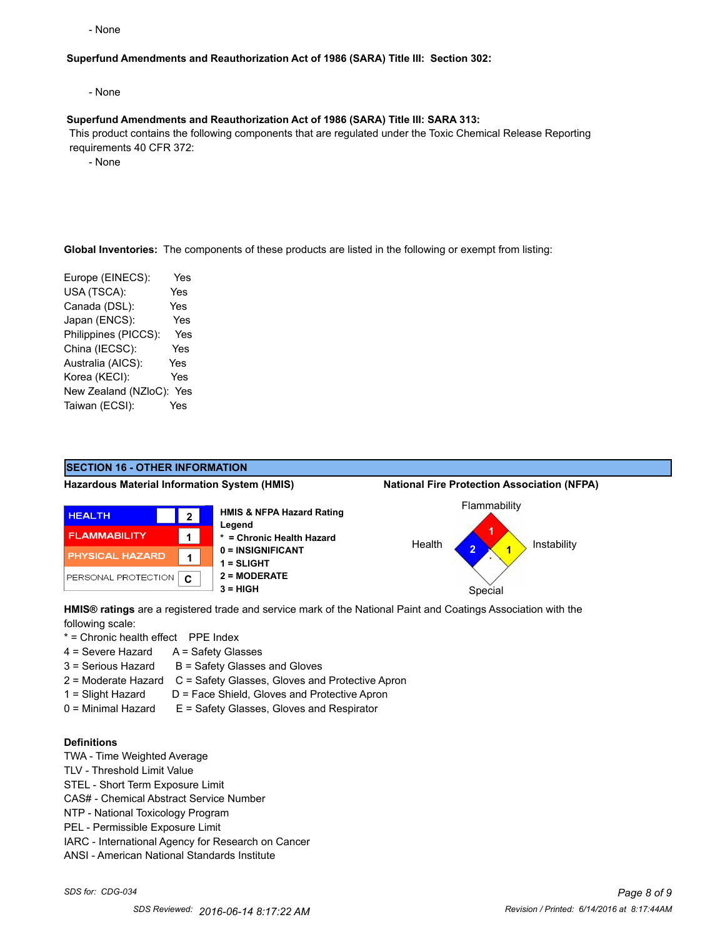- None

#### **Superfund Amendments and Reauthorization Act of 1986 (SARA) Title III: Section 302:**

- None

#### **Superfund Amendments and Reauthorization Act of 1986 (SARA) Title III: SARA 313:**

 This product contains the following components that are regulated under the Toxic Chemical Release Reporting requirements 40 CFR 372:

- None

**Global Inventories:** The components of these products are listed in the following or exempt from listing:

Europe (EINECS): Yes USA (TSCA): Yes Canada (DSL): Yes Japan (ENCS): Yes Philippines (PICCS): Yes China (IECSC): Yes Australia (AICS): Yes Korea (KECI): Yes New Zealand (NZloC): Yes Taiwan (ECSI): Yes



**HMIS® ratings** are a registered trade and service mark of the National Paint and Coatings Association with the following scale:

\* = Chronic health effect PPE Index

- 4 = Severe Hazard A = Safety Glasses
- $3 =$  Serious Hazard  $B =$  Safety Glasses and Gloves
- 2 = Moderate Hazard C = Safety Glasses, Gloves and Protective Apron
- 1 = Slight Hazard D = Face Shield, Gloves and Protective Apron
- 0 = Minimal Hazard E = Safety Glasses, Gloves and Respirator

#### **Definitions**

- TWA Time Weighted Average
- TLV Threshold Limit Value
- STEL Short Term Exposure Limit
- CAS# Chemical Abstract Service Number
- NTP National Toxicology Program
- PEL Permissible Exposure Limit
- IARC International Agency for Research on Cancer
- ANSI American National Standards Institute